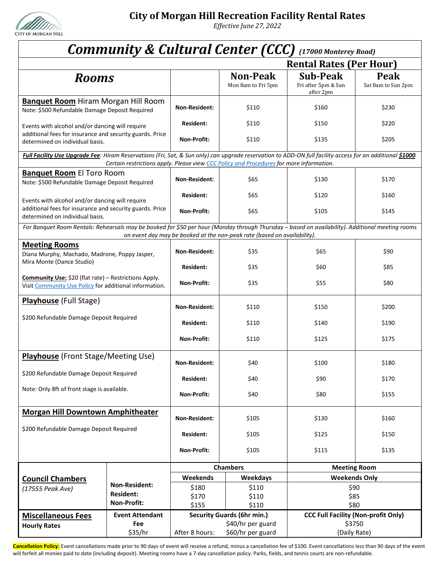

**City of Morgan Hill Recreation Facility Rental Rates**

*Effective June 27, 2022* 

| <b>Community &amp; Cultural Center (CCC)</b><br>(17000 Monterey Road)                                                                                     |                                                                                                           |                             |                                                                                         |                                                     |                            |  |
|-----------------------------------------------------------------------------------------------------------------------------------------------------------|-----------------------------------------------------------------------------------------------------------|-----------------------------|-----------------------------------------------------------------------------------------|-----------------------------------------------------|----------------------------|--|
|                                                                                                                                                           |                                                                                                           |                             | <b>Rental Rates (Per Hour)</b>                                                          |                                                     |                            |  |
| <b>Rooms</b>                                                                                                                                              |                                                                                                           |                             | <b>Non-Peak</b><br>Mon 8am to Fri 5pm                                                   | <b>Sub-Peak</b><br>Fri after 5pm & Sun<br>after 2pm | Peak<br>Sat 8am to Sun 2pm |  |
| <b>Banquet Room</b> Hiram Morgan Hill Room<br>Note: \$500 Refundable Damage Deposit Required                                                              |                                                                                                           | Non-Resident:               | \$110                                                                                   | \$160                                               | \$230                      |  |
| Events with alcohol and/or dancing will require<br>additional fees for insurance and security guards. Price<br>determined on individual basis.            |                                                                                                           | <b>Resident:</b>            | \$110                                                                                   | \$150                                               | \$220                      |  |
|                                                                                                                                                           |                                                                                                           | Non-Profit:                 | \$110                                                                                   | \$135                                               | \$205                      |  |
| Full Facility Use Upgrade Fee: Hiram Reservations (Fri, Sat, & Sun only) can upgrade reservation to ADD-ON full facility access for an additional \$1000. |                                                                                                           |                             | Certain restrictions apply. Please view CCC Policy and Procedures for more information. |                                                     |                            |  |
| <b>Banquet Room El Toro Room</b><br>Note: \$500 Refundable Damage Deposit Required                                                                        |                                                                                                           | <b>Non-Resident:</b>        | \$65                                                                                    | \$130                                               | \$170                      |  |
| Events with alcohol and/or dancing will require<br>additional fees for insurance and security guards. Price<br>determined on individual basis.            |                                                                                                           | <b>Resident:</b>            | \$65                                                                                    | \$120                                               | \$160                      |  |
|                                                                                                                                                           |                                                                                                           | Non-Profit:                 | \$65                                                                                    | \$105                                               | \$145                      |  |
| For Banquet Room Rentals: Rehearsals may be booked for \$50 per hour (Monday through Thursday - based on availability). Additional meeting rooms          |                                                                                                           |                             | on event day may be booked at the non-peak rate (based on availability).                |                                                     |                            |  |
| <b>Meeting Rooms</b><br>Diana Murphy, Machado, Madrone, Poppy Jasper,<br>Mira Monte (Dance Studio)                                                        |                                                                                                           | Non-Resident:               | \$35                                                                                    | \$65                                                | \$90                       |  |
|                                                                                                                                                           |                                                                                                           | <b>Resident:</b>            | \$35                                                                                    | \$60                                                | \$85                       |  |
| <b>Community Use:</b> \$20 (flat rate) – Restrictions Apply.<br>Visit Community Use Policy for additional information.                                    |                                                                                                           | Non-Profit:                 | \$35                                                                                    | \$55                                                | \$80                       |  |
| <b>Playhouse</b> (Full Stage)<br>\$200 Refundable Damage Deposit Required                                                                                 |                                                                                                           | Non-Resident:               | \$110                                                                                   | \$150                                               | \$200                      |  |
|                                                                                                                                                           |                                                                                                           | <b>Resident:</b>            | \$110                                                                                   | \$140                                               | \$190                      |  |
|                                                                                                                                                           |                                                                                                           | Non-Profit:                 | \$110                                                                                   | \$125                                               | \$175                      |  |
| <b>Playhouse</b> (Front Stage/Meeting Use)                                                                                                                |                                                                                                           | <b>Non-Resident:</b>        | \$40                                                                                    | \$100                                               | \$180                      |  |
| \$200 Refundable Damage Deposit Required                                                                                                                  |                                                                                                           | <b>Resident:</b>            | \$40                                                                                    | \$90                                                | \$170                      |  |
| Note: Only 8ft of front stage is available.                                                                                                               |                                                                                                           | Non-Profit:                 | \$40                                                                                    | \$80                                                | \$155                      |  |
| <b>Morgan Hill Downtown Amphitheater</b>                                                                                                                  |                                                                                                           | Non-Resident:               | \$105                                                                                   | \$130                                               | \$160                      |  |
| \$200 Refundable Damage Deposit Required                                                                                                                  |                                                                                                           | <b>Resident:</b>            | \$105                                                                                   | \$125                                               | \$150                      |  |
|                                                                                                                                                           |                                                                                                           | Non-Profit:                 | \$105                                                                                   | \$115                                               | \$135                      |  |
|                                                                                                                                                           |                                                                                                           | <b>Chambers</b>             |                                                                                         | <b>Meeting Room</b>                                 |                            |  |
| <b>Council Chambers</b>                                                                                                                                   |                                                                                                           | Weekends<br><b>Weekdays</b> |                                                                                         | <b>Weekends Only</b>                                |                            |  |
| (17555 Peak Ave)                                                                                                                                          | Non-Resident:                                                                                             | \$180                       | \$110                                                                                   | \$90                                                |                            |  |
|                                                                                                                                                           | <b>Resident:</b>                                                                                          | \$170                       | \$110                                                                                   |                                                     | \$85                       |  |
|                                                                                                                                                           | Non-Profit:                                                                                               | \$155                       | \$110                                                                                   | \$80                                                |                            |  |
| <b>Miscellaneous Fees</b>                                                                                                                                 | <b>Security Guards (6hr min.)</b><br><b>CCC Full Facility (Non-profit Only)</b><br><b>Event Attendant</b> |                             |                                                                                         |                                                     |                            |  |
| <b>Hourly Rates</b>                                                                                                                                       | Fee                                                                                                       | \$40/hr per guard           |                                                                                         | \$3750                                              |                            |  |
|                                                                                                                                                           | \$35/hr                                                                                                   | After 8 hours:              | \$60/hr per guard                                                                       | (Daily Rate)                                        |                            |  |

**Cancellation Policy:** Event cancellations made prior to 90 days of event will receive a refund, minus a cancellation fee of \$100. Event cancellations less than 90 days of the event will forfeit all monies paid to date (including deposit). Meeting rooms have a 7-day cancellation policy. Parks, fields, and tennis courts are non-refundable.